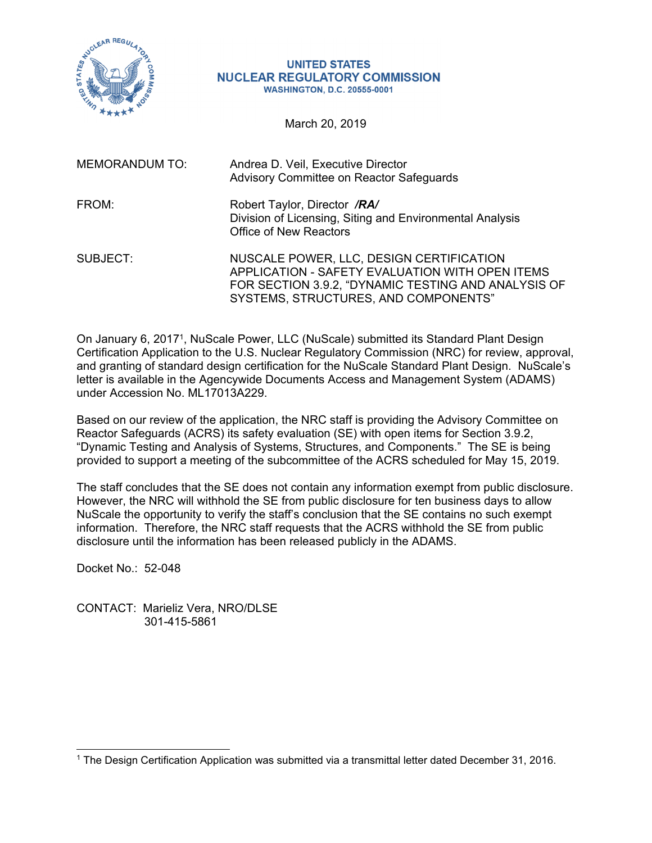

## **UNITED STATES NUCLEAR REGULATORY COMMISSION WASHINGTON, D.C. 20555-0001**

March 20, 2019

| <b>MEMORANDUM TO:</b> | Andrea D. Veil, Executive Director<br>Advisory Committee on Reactor Safeguards                                                                                                             |
|-----------------------|--------------------------------------------------------------------------------------------------------------------------------------------------------------------------------------------|
| FROM:                 | Robert Taylor, Director /RA/<br>Division of Licensing, Siting and Environmental Analysis<br><b>Office of New Reactors</b>                                                                  |
| SUBJECT:              | NUSCALE POWER, LLC, DESIGN CERTIFICATION<br>APPLICATION - SAFETY EVALUATION WITH OPEN ITEMS<br>FOR SECTION 3.9.2, "DYNAMIC TESTING AND ANALYSIS OF<br>SYSTEMS, STRUCTURES, AND COMPONENTS" |

On January 6, 20171, NuScale Power, LLC (NuScale) submitted its Standard Plant Design Certification Application to the U.S. Nuclear Regulatory Commission (NRC) for review, approval, and granting of standard design certification for the NuScale Standard Plant Design. NuScale's letter is available in the Agencywide Documents Access and Management System (ADAMS) under Accession No. ML17013A229.

Based on our review of the application, the NRC staff is providing the Advisory Committee on Reactor Safeguards (ACRS) its safety evaluation (SE) with open items for Section 3.9.2, "Dynamic Testing and Analysis of Systems, Structures, and Components." The SE is being provided to support a meeting of the subcommittee of the ACRS scheduled for May 15, 2019.

The staff concludes that the SE does not contain any information exempt from public disclosure. However, the NRC will withhold the SE from public disclosure for ten business days to allow NuScale the opportunity to verify the staff's conclusion that the SE contains no such exempt information. Therefore, the NRC staff requests that the ACRS withhold the SE from public disclosure until the information has been released publicly in the ADAMS.

Docket No.: 52-048

 $\overline{a}$ 

CONTACT: Marieliz Vera, NRO/DLSE 301-415-5861

<sup>1</sup> The Design Certification Application was submitted via a transmittal letter dated December 31, 2016.